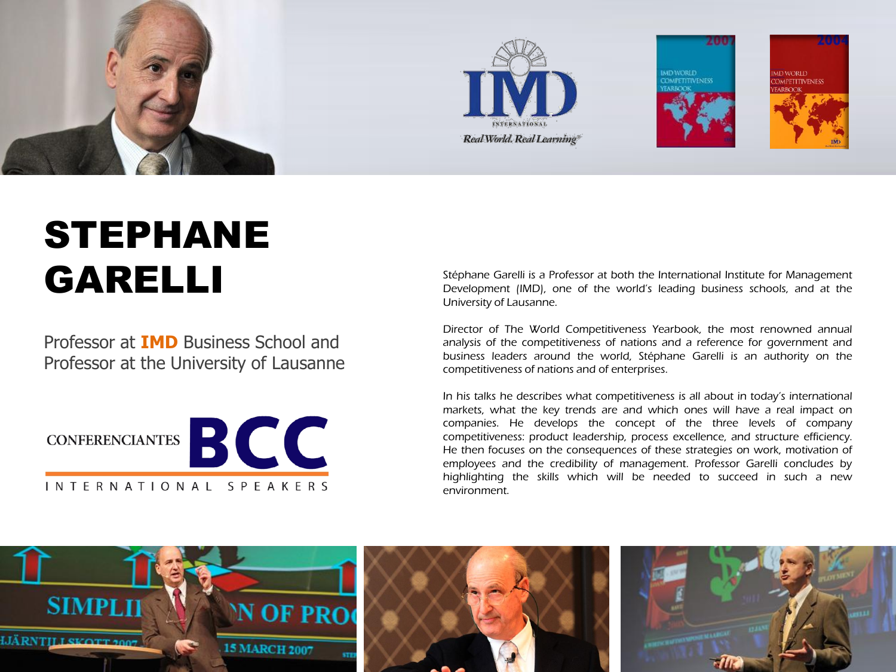

## STEPHANE GARELLI

Professor at **IMD** Business School and Professor at the University of Lausanne



Stéphane Garelli is a Professor at both the International Institute for Management Development (IMD), one of the world's leading business schools, and at the University of Lausanne.

Director of The World Competitiveness Yearbook, the most renowned annual analysis of the competitiveness of nations and a reference for government and business leaders around the world, Stéphane Garelli is an authority on the competitiveness of nations and of enterprises.

In his talks he describes what competitiveness is all about in today's international markets, what the key trends are and which ones will have a real impact on companies. He develops the concept of the three levels of company competitiveness: product leadership, process excellence, and structure efficiency. He then focuses on the consequences of these strategies on work, motivation of employees and the credibility of management. Professor Garelli concludes by highlighting the skills which will be needed to succeed in such a new environment.